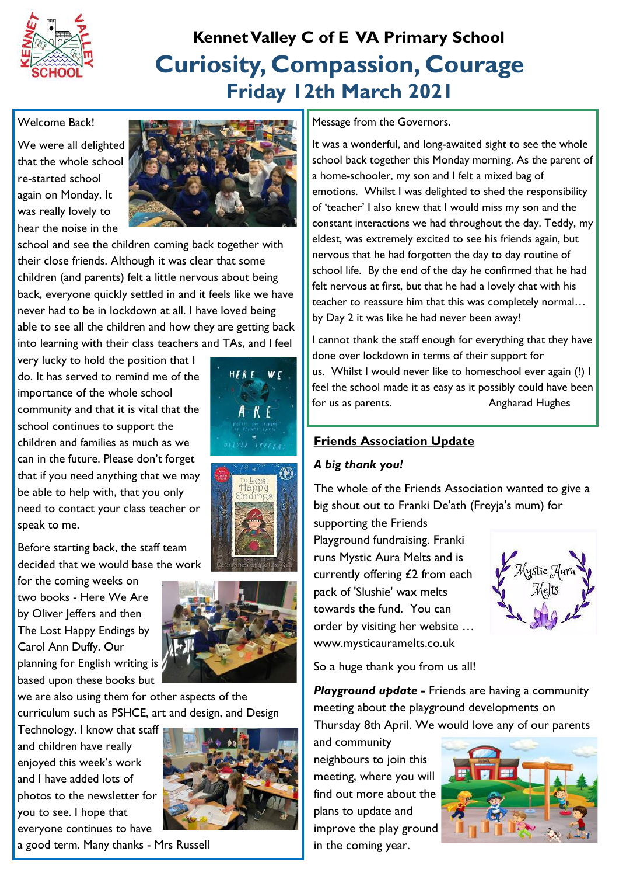

### **Curiosity, Compassion, Courage Friday 12th March 2021 Kennet Valley C of E VA Primary School**

#### Welcome Back!

We were all delighted that the whole school re-started school again on Monday. It was really lovely to hear the noise in the



school and see the children coming back together with their close friends. Although it was clear that some children (and parents) felt a little nervous about being back, everyone quickly settled in and it feels like we have never had to be in lockdown at all. I have loved being able to see all the children and how they are getting back into learning with their class teachers and TAs, and I feel

very lucky to hold the position that I do. It has served to remind me of the importance of the whole school community and that it is vital that the school continues to support the children and families as much as we can in the future. Please don't forget that if you need anything that we may be able to help with, that you only need to contact your class teacher or speak to me.

Before starting back, the staff team decided that we would base the work

for the coming weeks on two books - Here We Are by Oliver Jeffers and then The Lost Happy Endings by Carol Ann Duffy. Our planning for English writing is based upon these books but

we are also using them for other aspects of the curriculum such as PSHCE, art and design, and Design

Technology. I know that staff and children have really enjoyed this week's work and I have added lots of photos to the newsletter for you to see. I hope that everyone continues to have







a good term. Many thanks - Mrs Russell

Message from the Governors.

It was a wonderful, and long-awaited sight to see the whole school back together this Monday morning. As the parent of a home-schooler, my son and I felt a mixed bag of emotions. Whilst I was delighted to shed the responsibility of 'teacher' I also knew that I would miss my son and the constant interactions we had throughout the day. Teddy, my eldest, was extremely excited to see his friends again, but nervous that he had forgotten the day to day routine of school life. By the end of the day he confirmed that he had felt nervous at first, but that he had a lovely chat with his teacher to reassure him that this was completely normal… by Day 2 it was like he had never been away!

I cannot thank the staff enough for everything that they have done over lockdown in terms of their support for us. Whilst I would never like to homeschool ever again (!) I feel the school made it as easy as it possibly could have been for us as parents. The second series are all the Angharad Hughes

#### **Friends Association Update**

#### *A big thank you!*

The whole of the Friends Association wanted to give a big shout out to Franki De'ath (Freyja's mum) for

supporting the Friends Playground fundraising. Franki runs Mystic Aura Melts and is currently offering £2 from each pack of 'Slushie' wax melts towards the fund. You can order by visiting her website … www.mysticauramelts.co.uk



So a huge thank you from us all!

*Playground update -* Friends are having a community meeting about the playground developments on Thursday 8th April. We would love any of our parents

and community neighbours to join this meeting, where you will find out more about the plans to update and improve the play ground in the coming year.

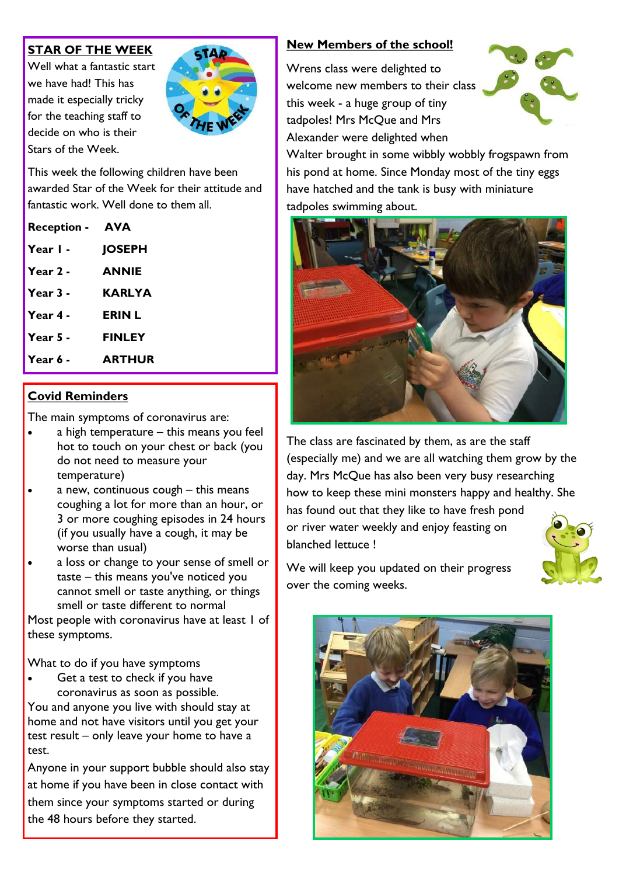#### **STAR OF THE WEEK**

Well what a fantastic start we have had! This has made it especially tricky for the teaching staff to decide on who is their Stars of the Week.



This week the following children have been awarded Star of the Week for their attitude and fantastic work. Well done to them all.

| <b>Reception -</b> | <b>AVA</b>    |
|--------------------|---------------|
| Year I -           | <b>JOSEPH</b> |
| Year 2 -           | <b>ANNIE</b>  |
| Year $3-$          | KARLYA        |
| Year 4 -           | <b>ERIN L</b> |
| Year $5 -$         | <b>FINLEY</b> |
| Year 6 -           | <b>ARTHUR</b> |

#### **Covid Reminders**

The main symptoms of coronavirus are:

- a high temperature this means you feel hot to touch on your chest or back (you do not need to measure your temperature)
- a new, continuous cough this means coughing a lot for more than an hour, or 3 or more coughing episodes in 24 hours (if you usually have a cough, it may be worse than usual)
- a loss or change to your sense of smell or taste – this means you've noticed you cannot smell or taste anything, or things smell or taste different to normal

Most people with coronavirus have at least 1 of these symptoms.

What to do if you have symptoms

 Get a test to check if you have coronavirus as soon as possible.

You and anyone you live with should stay at home and not have visitors until you get your test result – only leave your home to have a test.

Anyone in your support bubble should also stay at home if you have been in close contact with them since your symptoms started or during the 48 hours before they started.

#### **New Members of the school!**

Wrens class were delighted to welcome new members to their class this week - a huge group of tiny tadpoles! Mrs McQue and Mrs Alexander were delighted when



Walter brought in some wibbly wobbly frogspawn from his pond at home. Since Monday most of the tiny eggs have hatched and the tank is busy with miniature tadpoles swimming about.



The class are fascinated by them, as are the staff (especially me) and we are all watching them grow by the day. Mrs McQue has also been very busy researching how to keep these mini monsters happy and healthy. She has found out that they like to have fresh pond or river water weekly and enjoy feasting on blanched lettuce !



We will keep you updated on their progress over the coming weeks.

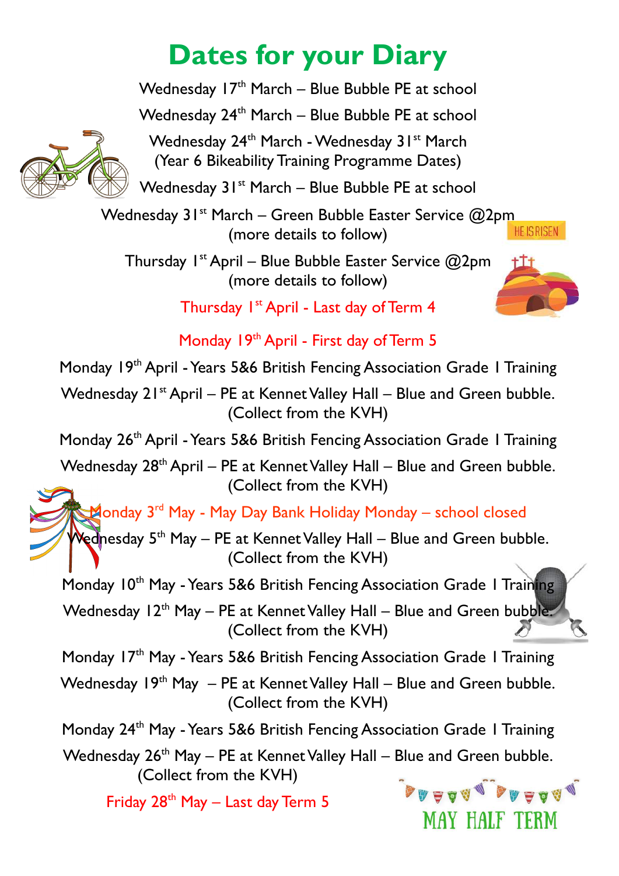# **Dates for your Diary**

Wednesday  $17<sup>th</sup>$  March – Blue Bubble PE at school Wednesday 24<sup>th</sup> March – Blue Bubble PE at school



Wednesday 24<sup>th</sup> March - Wednesday 31<sup>st</sup> March (Year 6 Bikeability Training Programme Dates)

Wednesday  $31^{st}$  March – Blue Bubble PE at school

Wednesday  $31^{st}$  March – Green Bubble Easter Service  $@2pm$ <br>(more details to follow) (more details to follow)

Thursday  $I^{st}$  April – Blue Bubble Easter Service  $@2$ pm (more details to follow)



Thursday I<sup>st</sup> April - Last day of Term 4

Monday 19<sup>th</sup> April - First day of Term 5

Monday 19<sup>th</sup> April - Years 5&6 British Fencing Association Grade 1 Training

Wednesday  $21^{st}$  April – PE at Kennet Valley Hall – Blue and Green bubble. (Collect from the KVH)

Monday 26<sup>th</sup> April - Years 5&6 British Fencing Association Grade 1 Training

Wednesday  $28<sup>th</sup>$  April – PE at Kennet Valley Hall – Blue and Green bubble. (Collect from the KVH)

Monday 3<sup>rd</sup> May - May Day Bank Holiday Monday – school closed

Wednesday  $5<sup>th</sup>$  May – PE at Kennet Valley Hall – Blue and Green bubble. (Collect from the KVH)

Monday 10<sup>th</sup> May - Years 5&6 British Fencing Association Grade 1 Training

Wednesday  $12<sup>th</sup>$  May – PE at Kennet Valley Hall – Blue and Green bubble. (Collect from the KVH)

Monday 17<sup>th</sup> May - Years 5&6 British Fencing Association Grade 1 Training

Wednesday  $19<sup>th</sup>$  May  $-$  PE at Kennet Valley Hall – Blue and Green bubble. (Collect from the KVH)

Monday 24th May -Years 5&6 British Fencing Association Grade 1 Training

Wednesday  $26<sup>th</sup>$  May – PE at Kennet Valley Hall – Blue and Green bubble. (Collect from the KVH)

Friday  $28<sup>th</sup>$  May – Last day Term 5